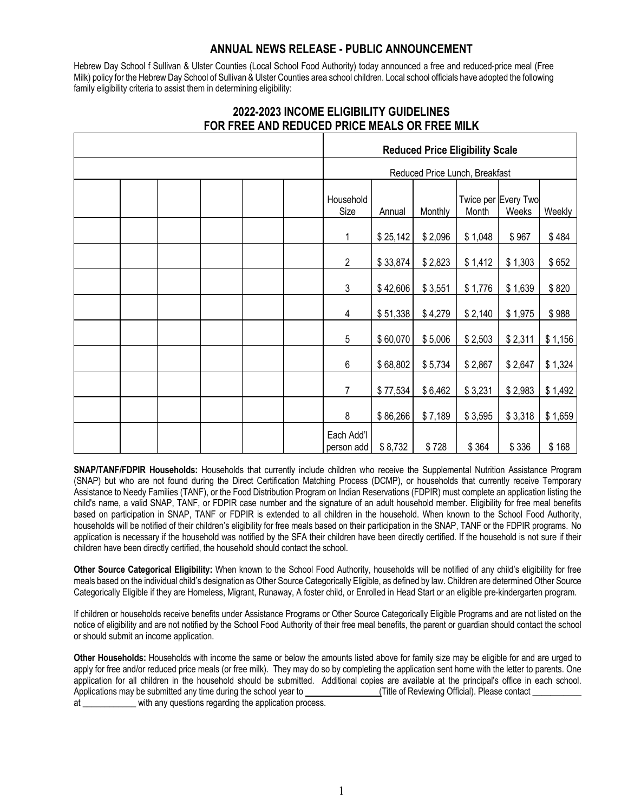## **ANNUAL NEWS RELEASE - PUBLIC ANNOUNCEMENT**

Hebrew Day School f Sullivan & Ulster Counties (Local School Food Authority) today announced a free and reduced-price meal (Free Milk) policy for the Hebrew Day School of Sullivan & Ulster Counties area school children. Local school officials have adopted the following family eligibility criteria to assist them in determining eligibility:

|  |  |  | <b>Reduced Price Eligibility Scale</b> |  |                                |          |         |         |                              |         |
|--|--|--|----------------------------------------|--|--------------------------------|----------|---------|---------|------------------------------|---------|
|  |  |  |                                        |  | Reduced Price Lunch, Breakfast |          |         |         |                              |         |
|  |  |  |                                        |  | Household<br>Size              | Annual   | Monthly | Month   | Twice per Every Two<br>Weeks | Weekly  |
|  |  |  |                                        |  | 1                              | \$25,142 | \$2,096 | \$1,048 | \$967                        | \$484   |
|  |  |  |                                        |  | $\overline{2}$                 | \$33,874 | \$2,823 | \$1,412 | \$1,303                      | \$652   |
|  |  |  |                                        |  | $\mathfrak{Z}$                 | \$42,606 | \$3,551 | \$1,776 | \$1,639                      | \$820   |
|  |  |  |                                        |  | 4                              | \$51,338 | \$4,279 | \$2,140 | \$1,975                      | \$988   |
|  |  |  |                                        |  | $\mathbf 5$                    | \$60,070 | \$5,006 | \$2,503 | \$2,311                      | \$1,156 |
|  |  |  |                                        |  | $\,6\,$                        | \$68,802 | \$5,734 | \$2,867 | \$2,647                      | \$1,324 |
|  |  |  |                                        |  | $\overline{7}$                 | \$77,534 | \$6,462 | \$3,231 | \$2,983                      | \$1,492 |
|  |  |  |                                        |  | 8                              | \$86,266 | \$7,189 | \$3,595 | \$3,318                      | \$1,659 |
|  |  |  |                                        |  | Each Add'l<br>person add       | \$8,732  | \$728   | \$364   | \$336                        | \$168   |

## **2022-2023 INCOME ELIGIBILITY GUIDELINES FOR FREE AND REDUCED PRICE MEALS OR FREE MILK**

**SNAP/TANF/FDPIR Households:** Households that currently include children who receive the Supplemental Nutrition Assistance Program (SNAP) but who are not found during the Direct Certification Matching Process (DCMP), or households that currently receive Temporary Assistance to Needy Families (TANF), or the Food Distribution Program on Indian Reservations (FDPIR) must complete an application listing the child's name, a valid SNAP, TANF, or FDPIR case number and the signature of an adult household member. Eligibility for free meal benefits based on participation in SNAP, TANF or FDPIR is extended to all children in the household. When known to the School Food Authority, households will be notified of their children's eligibility for free meals based on their participation in the SNAP, TANF or the FDPIR programs. No application is necessary if the household was notified by the SFA their children have been directly certified. If the household is not sure if their children have been directly certified, the household should contact the school.

**Other Source Categorical Eligibility:** When known to the School Food Authority, households will be notified of any child's eligibility for free meals based on the individual child's designation as Other Source Categorically Eligible, as defined by law. Children are determined Other Source Categorically Eligible if they are Homeless, Migrant, Runaway, A foster child, or Enrolled in Head Start or an eligible pre-kindergarten program.

If children or households receive benefits under Assistance Programs or Other Source Categorically Eligible Programs and are not listed on the notice of eligibility and are not notified by the School Food Authority of their free meal benefits, the parent or guardian should contact the school or should submit an income application.

**Other Households:** Households with income the same or below the amounts listed above for family size may be eligible for and are urged to apply for free and/or reduced price meals (or free milk). They may do so by completing the application sent home with the letter to parents. One application for all children in the household should be submitted. Additional copies are available at the principal's office in each school. Applications may be submitted any time during the school year to (Title of Reviewing Official). Please contact at but with any questions regarding the application process.